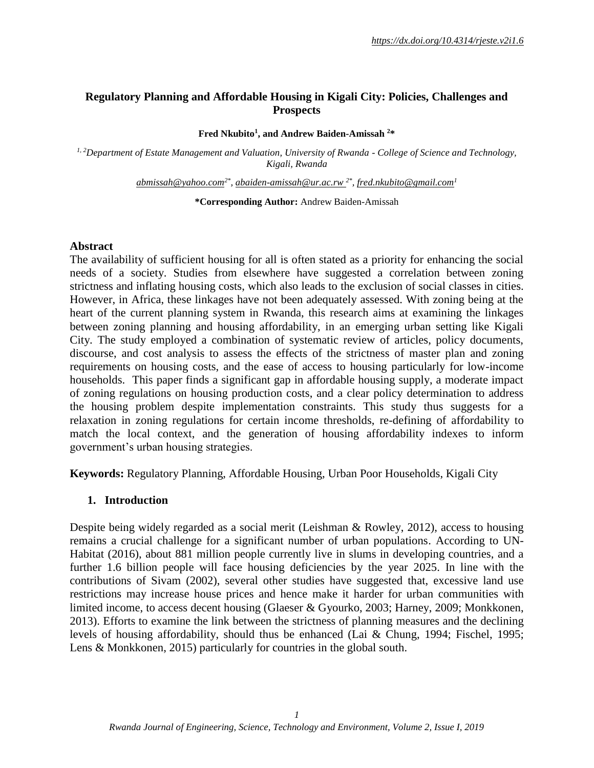#### **Regulatory Planning and Affordable Housing in Kigali City: Policies, Challenges and Prospects**

#### **Fred Nkubito<sup>1</sup> , and Andrew Baiden-Amissah <sup>2</sup>\***

*1, <sup>2</sup>Department of Estate Management and Valuation, University of Rwanda - College of Science and Technology, Kigali, Rwanda*

*[abmissah@yahoo.com](mailto:abmissah@yahoo.com)2\* , [abaiden-amissah@ur.ac.rw](mailto:abaiden-amissah@ur.ac.rw*) 2\* , [fred.nkubito@gmail.com](mailto:fred.nkubito@gmail.com)<sup>1</sup>*

**\*Corresponding Author:** Andrew Baiden-Amissah

#### **Abstract**

The availability of sufficient housing for all is often stated as a priority for enhancing the social needs of a society. Studies from elsewhere have suggested a correlation between zoning strictness and inflating housing costs, which also leads to the exclusion of social classes in cities. However, in Africa, these linkages have not been adequately assessed. With zoning being at the heart of the current planning system in Rwanda, this research aims at examining the linkages between zoning planning and housing affordability, in an emerging urban setting like Kigali City. The study employed a combination of systematic review of articles, policy documents, discourse, and cost analysis to assess the effects of the strictness of master plan and zoning requirements on housing costs, and the ease of access to housing particularly for low-income households. This paper finds a significant gap in affordable housing supply, a moderate impact of zoning regulations on housing production costs, and a clear policy determination to address the housing problem despite implementation constraints. This study thus suggests for a relaxation in zoning regulations for certain income thresholds, re-defining of affordability to match the local context, and the generation of housing affordability indexes to inform government's urban housing strategies.

**Keywords:** Regulatory Planning, Affordable Housing, Urban Poor Households, Kigali City

#### **1. Introduction**

Despite being widely regarded as a social merit (Leishman & Rowley, 2012), access to housing remains a crucial challenge for a significant number of urban populations. According to UN-Habitat (2016), about 881 million people currently live in slums in developing countries, and a further 1.6 billion people will face housing deficiencies by the year 2025. In line with the contributions of Sivam (2002), several other studies have suggested that, excessive land use restrictions may increase house prices and hence make it harder for urban communities with limited income, to access decent housing (Glaeser & Gyourko, 2003; Harney, 2009; Monkkonen, 2013). Efforts to examine the link between the strictness of planning measures and the declining levels of housing affordability, should thus be enhanced (Lai & Chung, 1994; Fischel, 1995; Lens & Monkkonen, 2015) particularly for countries in the global south.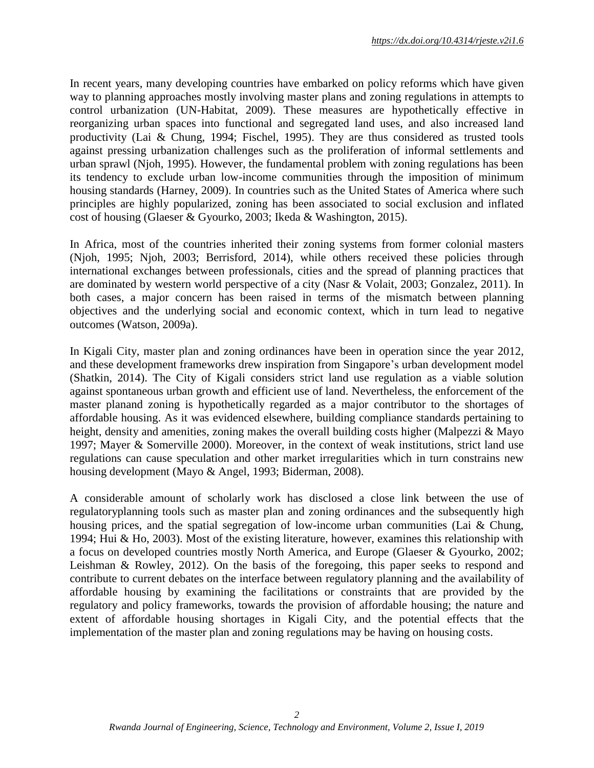In recent years, many developing countries have embarked on policy reforms which have given way to planning approaches mostly involving master plans and zoning regulations in attempts to control urbanization (UN-Habitat, 2009). These measures are hypothetically effective in reorganizing urban spaces into functional and segregated land uses, and also increased land productivity (Lai & Chung, 1994; Fischel, 1995). They are thus considered as trusted tools against pressing urbanization challenges such as the proliferation of informal settlements and urban sprawl (Njoh, 1995). However, the fundamental problem with zoning regulations has been its tendency to exclude urban low-income communities through the imposition of minimum housing standards (Harney, 2009). In countries such as the United States of America where such principles are highly popularized, zoning has been associated to social exclusion and inflated cost of housing (Glaeser & Gyourko, 2003; Ikeda & Washington, 2015).

In Africa, most of the countries inherited their zoning systems from former colonial masters (Njoh, 1995; Njoh, 2003; Berrisford, 2014), while others received these policies through international exchanges between professionals, cities and the spread of planning practices that are dominated by western world perspective of a city (Nasr & Volait, 2003; Gonzalez, 2011). In both cases, a major concern has been raised in terms of the mismatch between planning objectives and the underlying social and economic context, which in turn lead to negative outcomes (Watson, 2009a).

In Kigali City, master plan and zoning ordinances have been in operation since the year 2012, and these development frameworks drew inspiration from Singapore's urban development model (Shatkin, 2014). The City of Kigali considers strict land use regulation as a viable solution against spontaneous urban growth and efficient use of land. Nevertheless, the enforcement of the master planand zoning is hypothetically regarded as a major contributor to the shortages of affordable housing. As it was evidenced elsewhere, building compliance standards pertaining to height, density and amenities, zoning makes the overall building costs higher (Malpezzi & Mayo 1997; Mayer & Somerville 2000). Moreover, in the context of weak institutions, strict land use regulations can cause speculation and other market irregularities which in turn constrains new housing development (Mayo & Angel, 1993; Biderman, 2008).

A considerable amount of scholarly work has disclosed a close link between the use of regulatoryplanning tools such as master plan and zoning ordinances and the subsequently high housing prices, and the spatial segregation of low-income urban communities (Lai & Chung, 1994; Hui & Ho, 2003). Most of the existing literature, however, examines this relationship with a focus on developed countries mostly North America, and Europe (Glaeser & Gyourko, 2002; Leishman & Rowley, 2012). On the basis of the foregoing, this paper seeks to respond and contribute to current debates on the interface between regulatory planning and the availability of affordable housing by examining the facilitations or constraints that are provided by the regulatory and policy frameworks, towards the provision of affordable housing; the nature and extent of affordable housing shortages in Kigali City, and the potential effects that the implementation of the master plan and zoning regulations may be having on housing costs.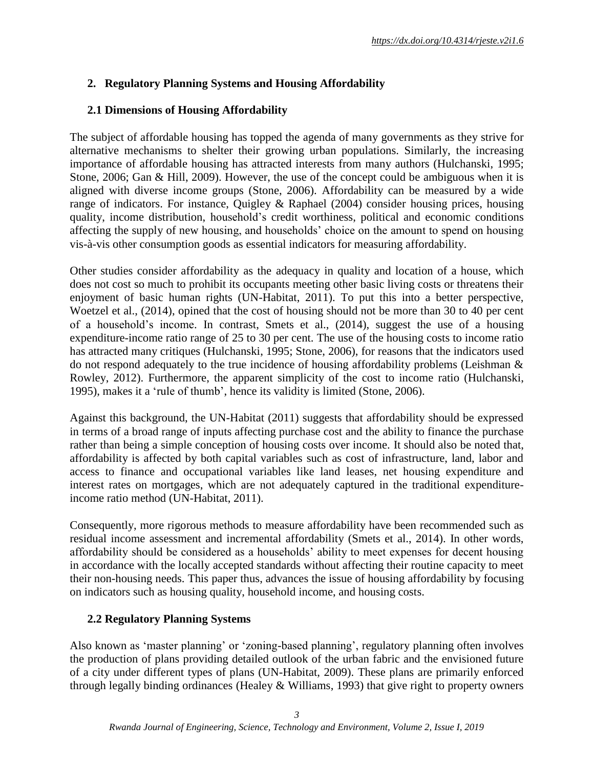# **2. Regulatory Planning Systems and Housing Affordability**

# **2.1 Dimensions of Housing Affordability**

The subject of affordable housing has topped the agenda of many governments as they strive for alternative mechanisms to shelter their growing urban populations. Similarly, the increasing importance of affordable housing has attracted interests from many authors (Hulchanski, 1995; Stone, 2006; Gan & Hill, 2009). However, the use of the concept could be ambiguous when it is aligned with diverse income groups (Stone, 2006). Affordability can be measured by a wide range of indicators. For instance, Quigley & Raphael (2004) consider housing prices, housing quality, income distribution, household's credit worthiness, political and economic conditions affecting the supply of new housing, and households' choice on the amount to spend on housing vis-à-vis other consumption goods as essential indicators for measuring affordability.

Other studies consider affordability as the adequacy in quality and location of a house, which does not cost so much to prohibit its occupants meeting other basic living costs or threatens their enjoyment of basic human rights (UN-Habitat, 2011). To put this into a better perspective, Woetzel et al., (2014), opined that the cost of housing should not be more than 30 to 40 per cent of a household's income. In contrast, Smets et al., (2014), suggest the use of a housing expenditure-income ratio range of 25 to 30 per cent. The use of the housing costs to income ratio has attracted many critiques (Hulchanski, 1995; Stone, 2006), for reasons that the indicators used do not respond adequately to the true incidence of housing affordability problems (Leishman & Rowley, 2012). Furthermore, the apparent simplicity of the cost to income ratio (Hulchanski, 1995), makes it a 'rule of thumb', hence its validity is limited (Stone, 2006).

Against this background, the UN-Habitat (2011) suggests that affordability should be expressed in terms of a broad range of inputs affecting purchase cost and the ability to finance the purchase rather than being a simple conception of housing costs over income. It should also be noted that, affordability is affected by both capital variables such as cost of infrastructure, land, labor and access to finance and occupational variables like land leases, net housing expenditure and interest rates on mortgages, which are not adequately captured in the traditional expenditureincome ratio method (UN-Habitat, 2011).

Consequently, more rigorous methods to measure affordability have been recommended such as residual income assessment and incremental affordability (Smets et al., 2014). In other words, affordability should be considered as a households' ability to meet expenses for decent housing in accordance with the locally accepted standards without affecting their routine capacity to meet their non-housing needs. This paper thus, advances the issue of housing affordability by focusing on indicators such as housing quality, household income, and housing costs.

# **2.2 Regulatory Planning Systems**

Also known as 'master planning' or 'zoning-based planning', regulatory planning often involves the production of plans providing detailed outlook of the urban fabric and the envisioned future of a city under different types of plans (UN-Habitat, 2009). These plans are primarily enforced through legally binding ordinances (Healey & Williams, 1993) that give right to property owners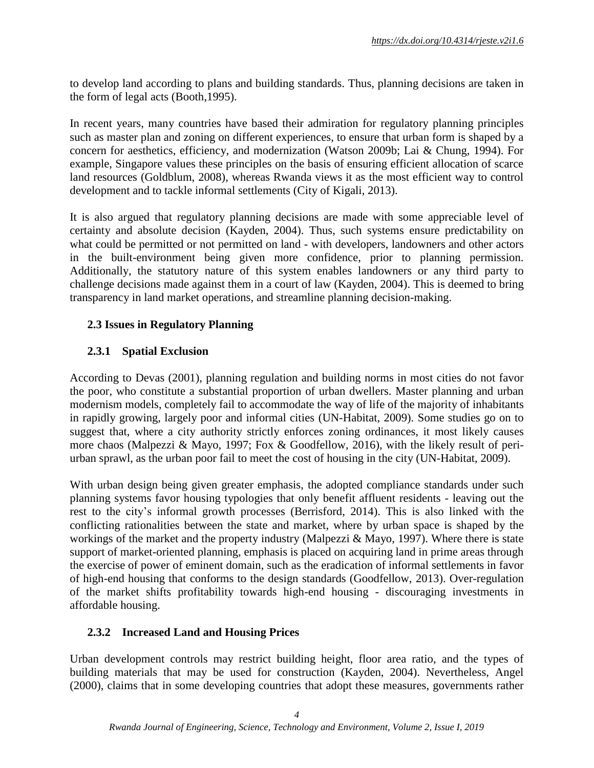to develop land according to plans and building standards. Thus, planning decisions are taken in the form of legal acts (Booth,1995).

In recent years, many countries have based their admiration for regulatory planning principles such as master plan and zoning on different experiences, to ensure that urban form is shaped by a concern for aesthetics, efficiency, and modernization (Watson 2009b; Lai & Chung, 1994). For example, Singapore values these principles on the basis of ensuring efficient allocation of scarce land resources (Goldblum, 2008), whereas Rwanda views it as the most efficient way to control development and to tackle informal settlements (City of Kigali, 2013).

It is also argued that regulatory planning decisions are made with some appreciable level of certainty and absolute decision (Kayden, 2004). Thus, such systems ensure predictability on what could be permitted or not permitted on land - with developers, landowners and other actors in the built-environment being given more confidence, prior to planning permission. Additionally, the statutory nature of this system enables landowners or any third party to challenge decisions made against them in a court of law (Kayden, 2004). This is deemed to bring transparency in land market operations, and streamline planning decision-making.

## **2.3 Issues in Regulatory Planning**

## **2.3.1 Spatial Exclusion**

According to Devas (2001), planning regulation and building norms in most cities do not favor the poor, who constitute a substantial proportion of urban dwellers. Master planning and urban modernism models, completely fail to accommodate the way of life of the majority of inhabitants in rapidly growing, largely poor and informal cities (UN-Habitat, 2009). Some studies go on to suggest that, where a city authority strictly enforces zoning ordinances, it most likely causes more chaos (Malpezzi & Mayo, 1997; Fox & Goodfellow, 2016), with the likely result of periurban sprawl, as the urban poor fail to meet the cost of housing in the city (UN-Habitat, 2009).

With urban design being given greater emphasis, the adopted compliance standards under such planning systems favor housing typologies that only benefit affluent residents - leaving out the rest to the city's informal growth processes (Berrisford, 2014). This is also linked with the conflicting rationalities between the state and market, where by urban space is shaped by the workings of the market and the property industry (Malpezzi & Mayo, 1997). Where there is state support of market-oriented planning, emphasis is placed on acquiring land in prime areas through the exercise of power of eminent domain, such as the eradication of informal settlements in favor of high-end housing that conforms to the design standards (Goodfellow, 2013). Over-regulation of the market shifts profitability towards high-end housing - discouraging investments in affordable housing.

### **2.3.2 Increased Land and Housing Prices**

Urban development controls may restrict building height, floor area ratio, and the types of building materials that may be used for construction (Kayden, 2004). Nevertheless, Angel (2000), claims that in some developing countries that adopt these measures, governments rather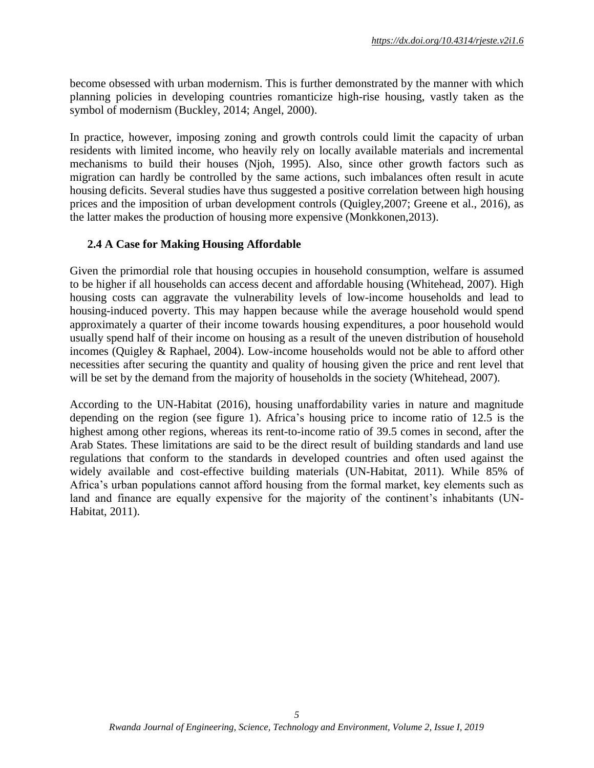become obsessed with urban modernism. This is further demonstrated by the manner with which planning policies in developing countries romanticize high-rise housing, vastly taken as the symbol of modernism (Buckley, 2014; Angel, 2000).

In practice, however, imposing zoning and growth controls could limit the capacity of urban residents with limited income, who heavily rely on locally available materials and incremental mechanisms to build their houses (Njoh, 1995). Also, since other growth factors such as migration can hardly be controlled by the same actions, such imbalances often result in acute housing deficits. Several studies have thus suggested a positive correlation between high housing prices and the imposition of urban development controls (Quigley,2007; Greene et al., 2016), as the latter makes the production of housing more expensive (Monkkonen,2013).

### **2.4 A Case for Making Housing Affordable**

Given the primordial role that housing occupies in household consumption, welfare is assumed to be higher if all households can access decent and affordable housing (Whitehead, 2007). High housing costs can aggravate the vulnerability levels of low-income households and lead to housing-induced poverty. This may happen because while the average household would spend approximately a quarter of their income towards housing expenditures, a poor household would usually spend half of their income on housing as a result of the uneven distribution of household incomes (Quigley & Raphael, 2004). Low-income households would not be able to afford other necessities after securing the quantity and quality of housing given the price and rent level that will be set by the demand from the majority of households in the society (Whitehead, 2007).

According to the UN-Habitat (2016), housing unaffordability varies in nature and magnitude depending on the region (see figure 1). Africa's housing price to income ratio of 12.5 is the highest among other regions, whereas its rent-to-income ratio of 39.5 comes in second, after the Arab States. These limitations are said to be the direct result of building standards and land use regulations that conform to the standards in developed countries and often used against the widely available and cost-effective building materials (UN-Habitat, 2011). While 85% of Africa's urban populations cannot afford housing from the formal market, key elements such as land and finance are equally expensive for the majority of the continent's inhabitants (UN-Habitat, 2011).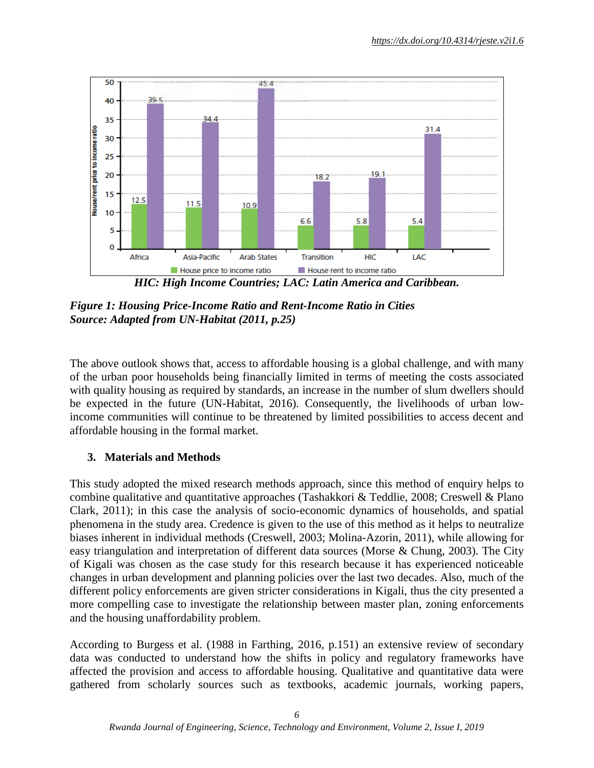

*HIC: High Income Countries; LAC: Latin America and Caribbean.* 

*Figure 1: Housing Price-Income Ratio and Rent-Income Ratio in Cities Source: Adapted from UN-Habitat (2011, p.25)*

The above outlook shows that, access to affordable housing is a global challenge, and with many of the urban poor households being financially limited in terms of meeting the costs associated with quality housing as required by standards, an increase in the number of slum dwellers should be expected in the future (UN-Habitat, 2016). Consequently, the livelihoods of urban lowincome communities will continue to be threatened by limited possibilities to access decent and affordable housing in the formal market.

# **3. Materials and Methods**

This study adopted the mixed research methods approach, since this method of enquiry helps to combine qualitative and quantitative approaches (Tashakkori & Teddlie, 2008; Creswell & Plano Clark, 2011); in this case the analysis of socio-economic dynamics of households, and spatial phenomena in the study area. Credence is given to the use of this method as it helps to neutralize biases inherent in individual methods (Creswell, 2003; Molina-Azorin, 2011), while allowing for easy triangulation and interpretation of different data sources (Morse & Chung, 2003). The City of Kigali was chosen as the case study for this research because it has experienced noticeable changes in urban development and planning policies over the last two decades. Also, much of the different policy enforcements are given stricter considerations in Kigali, thus the city presented a more compelling case to investigate the relationship between master plan, zoning enforcements and the housing unaffordability problem.

According to Burgess et al. (1988 in Farthing, 2016, p.151) an extensive review of secondary data was conducted to understand how the shifts in policy and regulatory frameworks have affected the provision and access to affordable housing. Qualitative and quantitative data were gathered from scholarly sources such as textbooks, academic journals, working papers,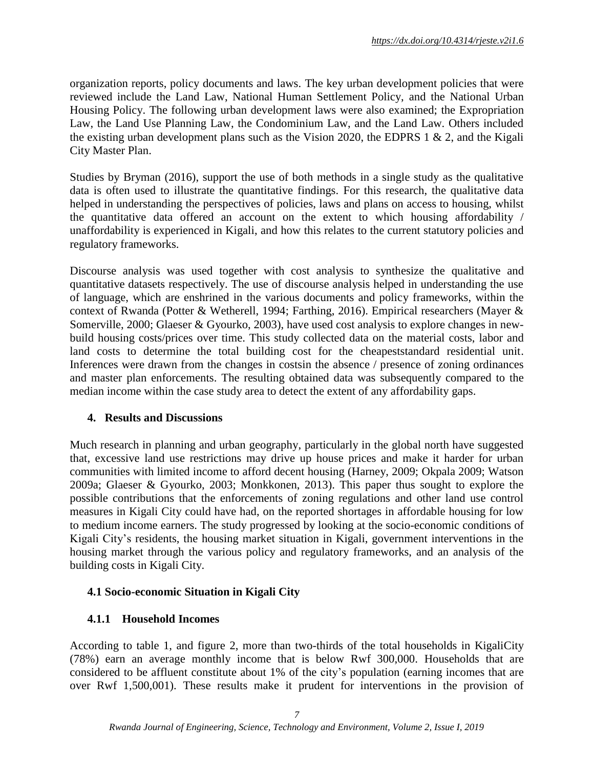organization reports, policy documents and laws. The key urban development policies that were reviewed include the Land Law, National Human Settlement Policy, and the National Urban Housing Policy. The following urban development laws were also examined; the Expropriation Law, the Land Use Planning Law, the Condominium Law, and the Land Law. Others included the existing urban development plans such as the Vision 2020, the EDPRS 1  $\&$  2, and the Kigali City Master Plan.

Studies by Bryman (2016), support the use of both methods in a single study as the qualitative data is often used to illustrate the quantitative findings. For this research, the qualitative data helped in understanding the perspectives of policies, laws and plans on access to housing, whilst the quantitative data offered an account on the extent to which housing affordability / unaffordability is experienced in Kigali, and how this relates to the current statutory policies and regulatory frameworks.

Discourse analysis was used together with cost analysis to synthesize the qualitative and quantitative datasets respectively. The use of discourse analysis helped in understanding the use of language, which are enshrined in the various documents and policy frameworks, within the context of Rwanda (Potter & Wetherell, 1994; Farthing, 2016). Empirical researchers (Mayer & Somerville, 2000; Glaeser & Gyourko, 2003), have used cost analysis to explore changes in newbuild housing costs/prices over time. This study collected data on the material costs, labor and land costs to determine the total building cost for the cheapeststandard residential unit. Inferences were drawn from the changes in costsin the absence / presence of zoning ordinances and master plan enforcements. The resulting obtained data was subsequently compared to the median income within the case study area to detect the extent of any affordability gaps.

### **4. Results and Discussions**

Much research in planning and urban geography, particularly in the global north have suggested that, excessive land use restrictions may drive up house prices and make it harder for urban communities with limited income to afford decent housing (Harney, 2009; Okpala 2009; Watson 2009a; Glaeser & Gyourko, 2003; Monkkonen, 2013). This paper thus sought to explore the possible contributions that the enforcements of zoning regulations and other land use control measures in Kigali City could have had, on the reported shortages in affordable housing for low to medium income earners. The study progressed by looking at the socio-economic conditions of Kigali City's residents, the housing market situation in Kigali, government interventions in the housing market through the various policy and regulatory frameworks, and an analysis of the building costs in Kigali City.

### **4.1 Socio-economic Situation in Kigali City**

### **4.1.1 Household Incomes**

According to table 1, and figure 2, more than two-thirds of the total households in KigaliCity (78%) earn an average monthly income that is below Rwf 300,000. Households that are considered to be affluent constitute about 1% of the city's population (earning incomes that are over Rwf 1,500,001). These results make it prudent for interventions in the provision of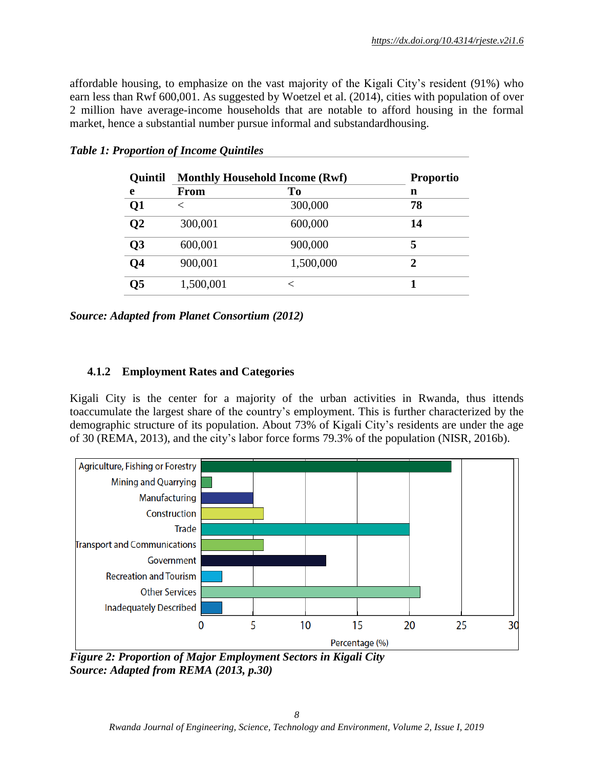affordable housing, to emphasize on the vast majority of the Kigali City's resident (91%) who earn less than Rwf 600,001. As suggested by Woetzel et al. (2014), cities with population of over 2 million have average-income households that are notable to afford housing in the formal market, hence a substantial number pursue informal and substandardhousing.

| <b>Quintil</b> | <b>Monthly Household Income (Rwf)</b> | <b>Proportio</b> |    |
|----------------|---------------------------------------|------------------|----|
| e              | <b>From</b>                           | To               | n  |
| Q <sub>1</sub> | $\,<\,$                               | 300,000          | 78 |
| Q <sub>2</sub> | 300,001                               | 600,000          | 14 |
| Q <sub>3</sub> | 600,001                               | 900,000          | 5  |
| Q <sub>4</sub> | 900,001                               | 1,500,000        | 2  |
| Q5             | 1,500,001                             | ✓                |    |

*Table 1: Proportion of Income Quintiles*

*Source: Adapted from Planet Consortium (2012)*

### **4.1.2 Employment Rates and Categories**

Kigali City is the center for a majority of the urban activities in Rwanda, thus ittends toaccumulate the largest share of the country's employment. This is further characterized by the demographic structure of its population. About 73% of Kigali City's residents are under the age of 30 (REMA, 2013), and the city's labor force forms 79.3% of the population (NISR, 2016b).



*Figure 2: Proportion of Major Employment Sectors in Kigali City Source: Adapted from REMA (2013, p.30)*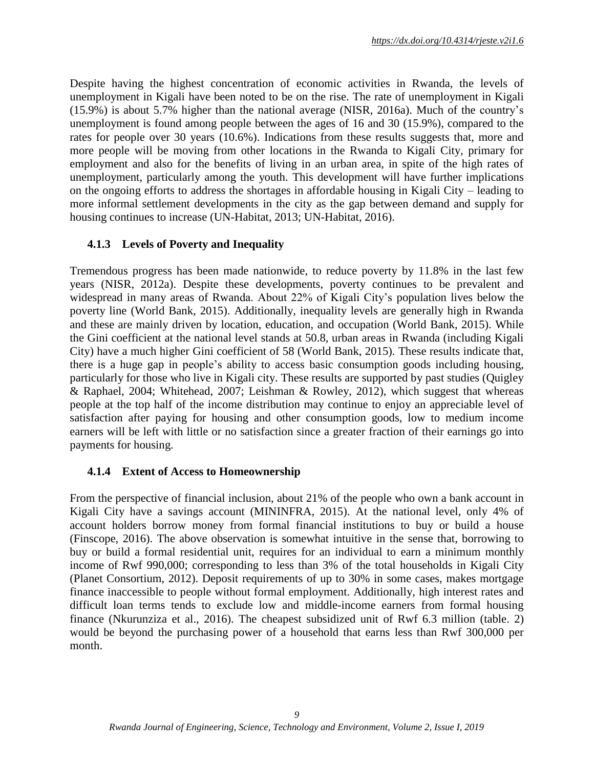Despite having the highest concentration of economic activities in Rwanda, the levels of unemployment in Kigali have been noted to be on the rise. The rate of unemployment in Kigali (15.9%) is about 5.7% higher than the national average (NISR, 2016a). Much of the country's unemployment is found among people between the ages of 16 and 30 (15.9%), compared to the rates for people over 30 years (10.6%). Indications from these results suggests that, more and more people will be moving from other locations in the Rwanda to Kigali City, primary for employment and also for the benefits of living in an urban area, in spite of the high rates of unemployment, particularly among the youth. This development will have further implications on the ongoing efforts to address the shortages in affordable housing in Kigali City – leading to more informal settlement developments in the city as the gap between demand and supply for housing continues to increase (UN-Habitat, 2013; UN-Habitat, 2016).

## **4.1.3 Levels of Poverty and Inequality**

Tremendous progress has been made nationwide, to reduce poverty by 11.8% in the last few years (NISR, 2012a). Despite these developments, poverty continues to be prevalent and widespread in many areas of Rwanda. About 22% of Kigali City's population lives below the poverty line (World Bank, 2015). Additionally, inequality levels are generally high in Rwanda and these are mainly driven by location, education, and occupation (World Bank, 2015). While the Gini coefficient at the national level stands at 50.8, urban areas in Rwanda (including Kigali City) have a much higher Gini coefficient of 58 (World Bank, 2015). These results indicate that, there is a huge gap in people's ability to access basic consumption goods including housing, particularly for those who live in Kigali city. These results are supported by past studies (Quigley & Raphael, 2004; Whitehead, 2007; Leishman & Rowley, 2012), which suggest that whereas people at the top half of the income distribution may continue to enjoy an appreciable level of satisfaction after paying for housing and other consumption goods, low to medium income earners will be left with little or no satisfaction since a greater fraction of their earnings go into payments for housing.

### **4.1.4 Extent of Access to Homeownership**

From the perspective of financial inclusion, about 21% of the people who own a bank account in Kigali City have a savings account (MININFRA, 2015). At the national level, only 4% of account holders borrow money from formal financial institutions to buy or build a house (Finscope, 2016). The above observation is somewhat intuitive in the sense that, borrowing to buy or build a formal residential unit, requires for an individual to earn a minimum monthly income of Rwf 990,000; corresponding to less than 3% of the total households in Kigali City (Planet Consortium, 2012). Deposit requirements of up to 30% in some cases, makes mortgage finance inaccessible to people without formal employment. Additionally, high interest rates and difficult loan terms tends to exclude low and middle-income earners from formal housing finance (Nkurunziza et al., 2016). The cheapest subsidized unit of Rwf 6.3 million (table. 2) would be beyond the purchasing power of a household that earns less than Rwf 300,000 per month.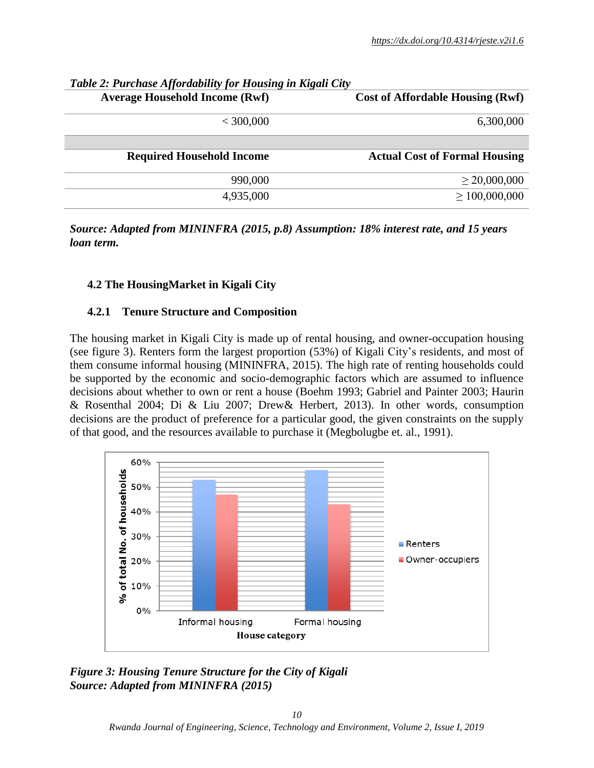| Tubic 2. I archase Affordability for Housing in Inguit City |
|-------------------------------------------------------------|
| <b>Cost of Affordable Housing (Rwf)</b>                     |
| 6,300,000                                                   |
|                                                             |
| <b>Actual Cost of Formal Housing</b>                        |
| $\geq$ 20,000,000                                           |
| $\geq 100,000,000$                                          |
|                                                             |

## *Table 2: Purchase Affordability for Housing in Kigali City*

*Source: Adapted from MININFRA (2015, p.8) Assumption: 18% interest rate, and 15 years loan term.*

### **4.2 The HousingMarket in Kigali City**

### **4.2.1 Tenure Structure and Composition**

The housing market in Kigali City is made up of rental housing, and owner-occupation housing (see figure 3). Renters form the largest proportion (53%) of Kigali City's residents, and most of them consume informal housing (MININFRA, 2015). The high rate of renting households could be supported by the economic and socio-demographic factors which are assumed to influence decisions about whether to own or rent a house (Boehm 1993; Gabriel and Painter 2003; Haurin & Rosenthal 2004; Di & Liu 2007; Drew& Herbert, 2013). In other words, consumption decisions are the product of preference for a particular good, the given constraints on the supply of that good, and the resources available to purchase it (Megbolugbe et. al., 1991).



*Figure 3: Housing Tenure Structure for the City of Kigali Source: Adapted from MININFRA (2015)*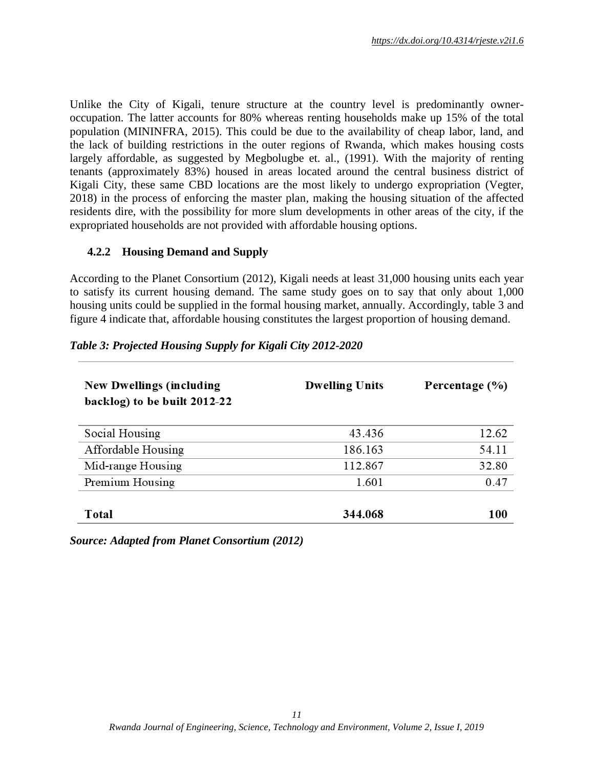Unlike the City of Kigali, tenure structure at the country level is predominantly owneroccupation. The latter accounts for 80% whereas renting households make up 15% of the total population (MININFRA, 2015). This could be due to the availability of cheap labor, land, and the lack of building restrictions in the outer regions of Rwanda, which makes housing costs largely affordable, as suggested by Megbolugbe et. al., (1991). With the majority of renting tenants (approximately 83%) housed in areas located around the central business district of Kigali City, these same CBD locations are the most likely to undergo expropriation (Vegter, 2018) in the process of enforcing the master plan, making the housing situation of the affected residents dire, with the possibility for more slum developments in other areas of the city, if the expropriated households are not provided with affordable housing options.

#### **4.2.2 Housing Demand and Supply**

According to the Planet Consortium (2012), Kigali needs at least 31,000 housing units each year to satisfy its current housing demand. The same study goes on to say that only about 1,000 housing units could be supplied in the formal housing market, annually. Accordingly, table 3 and figure 4 indicate that, affordable housing constitutes the largest proportion of housing demand.

#### *Table 3: Projected Housing Supply for Kigali City 2012-2020*

| <b>New Dwellings (including</b><br>backlog) to be built 2012-22 | <b>Dwelling Units</b> | Percentage (%) |
|-----------------------------------------------------------------|-----------------------|----------------|
| Social Housing                                                  | 43.436                | 12.62          |
| Affordable Housing                                              | 186.163               | 54.11          |
| Mid-range Housing                                               | 112.867               | 32.80          |
| Premium Housing                                                 | 1.601                 | 0.47           |
| Total                                                           | 344.068               | <b>100</b>     |

*Source: Adapted from Planet Consortium (2012)*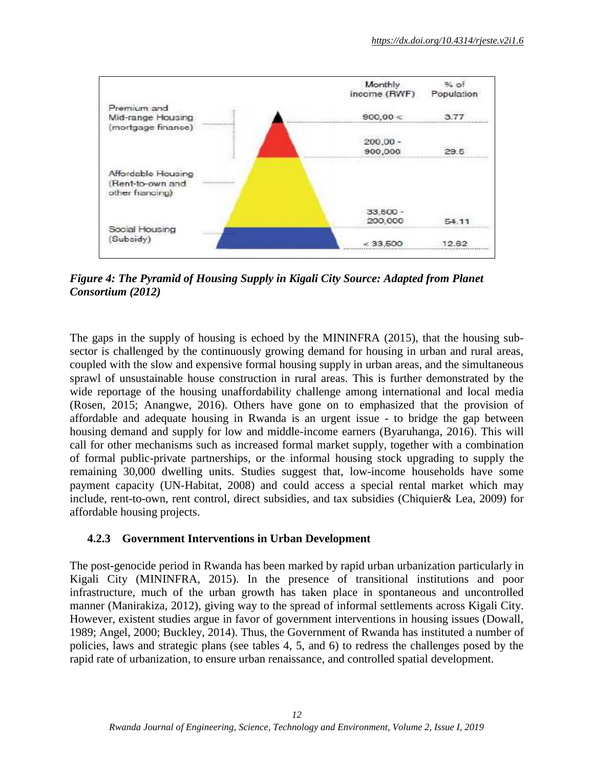

*Figure 4: The Pyramid of Housing Supply in Kigali City Source: Adapted from Planet Consortium (2012)*

The gaps in the supply of housing is echoed by the MININFRA (2015), that the housing subsector is challenged by the continuously growing demand for housing in urban and rural areas, coupled with the slow and expensive formal housing supply in urban areas, and the simultaneous sprawl of unsustainable house construction in rural areas. This is further demonstrated by the wide reportage of the housing unaffordability challenge among international and local media (Rosen, 2015; Anangwe, 2016). Others have gone on to emphasized that the provision of affordable and adequate housing in Rwanda is an urgent issue - to bridge the gap between housing demand and supply for low and middle-income earners (Byaruhanga, 2016). This will call for other mechanisms such as increased formal market supply, together with a combination of formal public-private partnerships, or the informal housing stock upgrading to supply the remaining 30,000 dwelling units. Studies suggest that, low-income households have some payment capacity (UN-Habitat, 2008) and could access a special rental market which may include, rent-to-own, rent control, direct subsidies, and tax subsidies (Chiquier& Lea, 2009) for affordable housing projects.

### **4.2.3 Government Interventions in Urban Development**

The post-genocide period in Rwanda has been marked by rapid urban urbanization particularly in Kigali City (MININFRA, 2015). In the presence of transitional institutions and poor infrastructure, much of the urban growth has taken place in spontaneous and uncontrolled manner (Manirakiza, 2012), giving way to the spread of informal settlements across Kigali City. However, existent studies argue in favor of government interventions in housing issues (Dowall, 1989; Angel, 2000; Buckley, 2014). Thus, the Government of Rwanda has instituted a number of policies, laws and strategic plans (see tables 4, 5, and 6) to redress the challenges posed by the rapid rate of urbanization, to ensure urban renaissance, and controlled spatial development.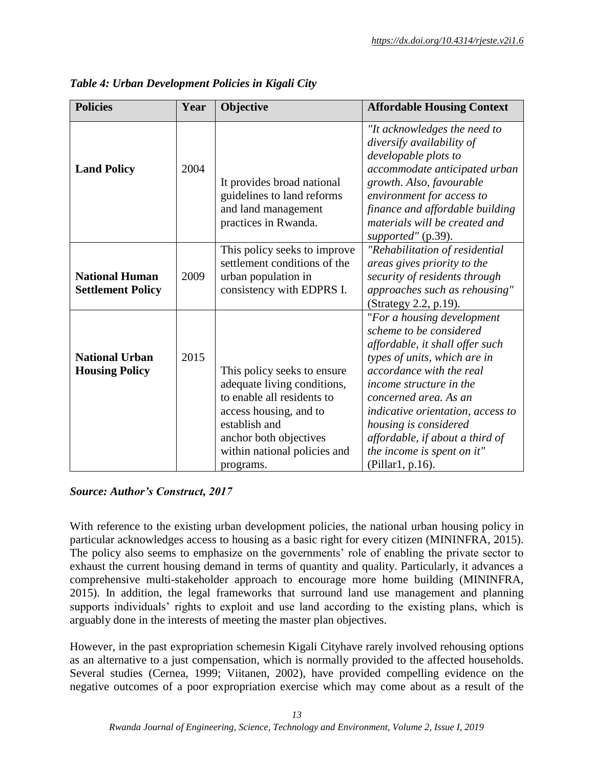| <b>Policies</b>                                   | Year | Objective                                                                                                                                                                                                  | <b>Affordable Housing Context</b>                                                                                                                                                                                                                                                                                                                           |
|---------------------------------------------------|------|------------------------------------------------------------------------------------------------------------------------------------------------------------------------------------------------------------|-------------------------------------------------------------------------------------------------------------------------------------------------------------------------------------------------------------------------------------------------------------------------------------------------------------------------------------------------------------|
|                                                   |      |                                                                                                                                                                                                            | "It acknowledges the need to<br>diversify availability of<br>developable plots to                                                                                                                                                                                                                                                                           |
| <b>Land Policy</b>                                | 2004 | It provides broad national<br>guidelines to land reforms<br>and land management<br>practices in Rwanda.                                                                                                    | accommodate anticipated urban<br>growth. Also, favourable<br>environment for access to<br>finance and affordable building<br>materials will be created and<br>supported" (p.39).                                                                                                                                                                            |
| <b>National Human</b><br><b>Settlement Policy</b> | 2009 | This policy seeks to improve<br>settlement conditions of the<br>urban population in<br>consistency with EDPRS I.                                                                                           | "Rehabilitation of residential<br>areas gives priority to the<br>security of residents through<br>approaches such as rehousing"<br>(Strategy 2.2, p.19).                                                                                                                                                                                                    |
| <b>National Urban</b><br><b>Housing Policy</b>    | 2015 | This policy seeks to ensure<br>adequate living conditions,<br>to enable all residents to<br>access housing, and to<br>establish and<br>anchor both objectives<br>within national policies and<br>programs. | "For a housing development<br>scheme to be considered<br>affordable, it shall offer such<br>types of units, which are in<br>accordance with the real<br>income structure in the<br>concerned area. As an<br>indicative orientation, access to<br>housing is considered<br>affordable, if about a third of<br>the income is spent on it"<br>(Pillar1, p.16). |

*Table 4: Urban Development Policies in Kigali City*

### *Source: Author's Construct, 2017*

With reference to the existing urban development policies, the national urban housing policy in particular acknowledges access to housing as a basic right for every citizen (MININFRA, 2015). The policy also seems to emphasize on the governments' role of enabling the private sector to exhaust the current housing demand in terms of quantity and quality. Particularly, it advances a comprehensive multi-stakeholder approach to encourage more home building (MININFRA, 2015). In addition, the legal frameworks that surround land use management and planning supports individuals' rights to exploit and use land according to the existing plans, which is arguably done in the interests of meeting the master plan objectives.

However, in the past expropriation schemesin Kigali Cityhave rarely involved rehousing options as an alternative to a just compensation, which is normally provided to the affected households. Several studies (Cernea, 1999; Viitanen, 2002), have provided compelling evidence on the negative outcomes of a poor expropriation exercise which may come about as a result of the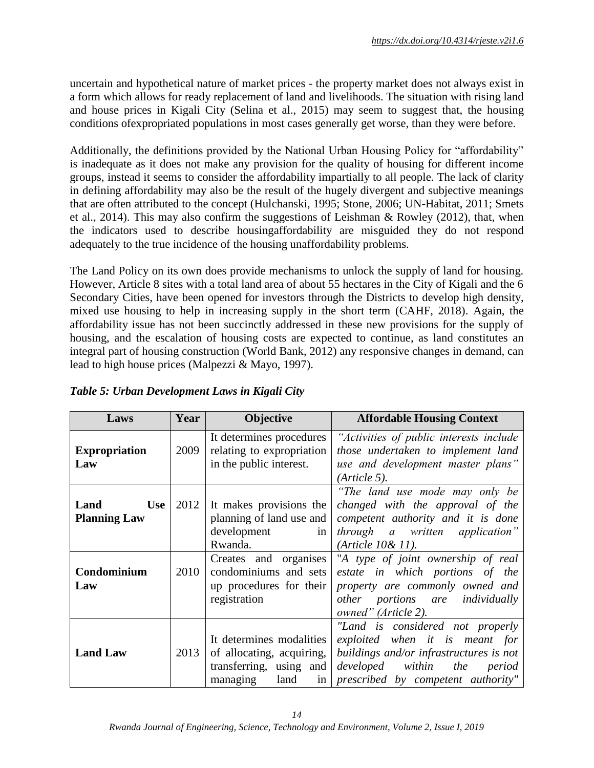uncertain and hypothetical nature of market prices - the property market does not always exist in a form which allows for ready replacement of land and livelihoods. The situation with rising land and house prices in Kigali City (Selina et al., 2015) may seem to suggest that, the housing conditions ofexpropriated populations in most cases generally get worse, than they were before.

Additionally, the definitions provided by the National Urban Housing Policy for "affordability" is inadequate as it does not make any provision for the quality of housing for different income groups, instead it seems to consider the affordability impartially to all people. The lack of clarity in defining affordability may also be the result of the hugely divergent and subjective meanings that are often attributed to the concept (Hulchanski, 1995; Stone, 2006; UN-Habitat, 2011; Smets et al., 2014). This may also confirm the suggestions of Leishman & Rowley (2012), that, when the indicators used to describe housingaffordability are misguided they do not respond adequately to the true incidence of the housing unaffordability problems.

The Land Policy on its own does provide mechanisms to unlock the supply of land for housing. However, Article 8 sites with a total land area of about 55 hectares in the City of Kigali and the 6 Secondary Cities, have been opened for investors through the Districts to develop high density, mixed use housing to help in increasing supply in the short term (CAHF, 2018). Again, the affordability issue has not been succinctly addressed in these new provisions for the supply of housing, and the escalation of housing costs are expected to continue, as land constitutes an integral part of housing construction (World Bank, 2012) any responsive changes in demand, can lead to high house prices (Malpezzi & Mayo, 1997).

| Year<br>Laws                              |      | <b>Objective</b>                                                                                           | <b>Affordable Housing Context</b>                                                                                                                                                  |  |  |
|-------------------------------------------|------|------------------------------------------------------------------------------------------------------------|------------------------------------------------------------------------------------------------------------------------------------------------------------------------------------|--|--|
| <b>Expropriation</b><br>Law               | 2009 | It determines procedures<br>relating to expropriation<br>in the public interest.                           | "Activities of public interests include<br>those undertaken to implement land<br>use and development master plans"<br>(A <sup>r</sup> <i>title</i> 5).                             |  |  |
| Land<br><b>Use</b><br><b>Planning Law</b> | 2012 | It makes provisions the<br>planning of land use and<br>development<br>in<br>Rwanda.                        | "The land use mode may only be<br>changed with the approval of the<br>competent authority and it is done<br>through a written application"<br>(Ariticle 10&11).                    |  |  |
| Condominium<br>Law                        | 2010 | Creates and organises<br>condominiums and sets<br>up procedures for their<br>registration                  | "A type of joint ownership of real<br>estate in which portions of the<br>property are commonly owned and<br>other portions are individually<br>owned" (Article 2).                 |  |  |
| <b>Land Law</b>                           | 2013 | It determines modalities<br>of allocating, acquiring,<br>transferring, using and<br>managing<br>land<br>in | "Land is considered not properly<br>exploited when it is meant for<br>buildings and/or infrastructures is not<br>developed within the period<br>prescribed by competent authority" |  |  |

*Table 5: Urban Development Laws in Kigali City*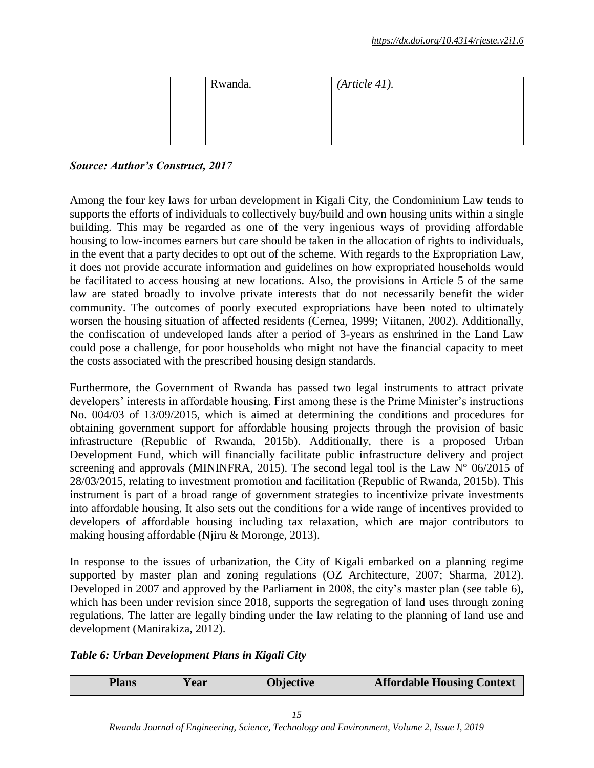| Rwanda. | (Ariticle 41). |  |
|---------|----------------|--|
|         |                |  |
|         |                |  |

## *Source: Author's Construct, 2017*

Among the four key laws for urban development in Kigali City, the Condominium Law tends to supports the efforts of individuals to collectively buy/build and own housing units within a single building. This may be regarded as one of the very ingenious ways of providing affordable housing to low-incomes earners but care should be taken in the allocation of rights to individuals, in the event that a party decides to opt out of the scheme. With regards to the Expropriation Law, it does not provide accurate information and guidelines on how expropriated households would be facilitated to access housing at new locations. Also, the provisions in Article 5 of the same law are stated broadly to involve private interests that do not necessarily benefit the wider community. The outcomes of poorly executed expropriations have been noted to ultimately worsen the housing situation of affected residents (Cernea, 1999; Viitanen, 2002). Additionally, the confiscation of undeveloped lands after a period of 3-years as enshrined in the Land Law could pose a challenge, for poor households who might not have the financial capacity to meet the costs associated with the prescribed housing design standards.

Furthermore, the Government of Rwanda has passed two legal instruments to attract private developers' interests in affordable housing. First among these is the Prime Minister's instructions No. 004/03 of 13/09/2015, which is aimed at determining the conditions and procedures for obtaining government support for affordable housing projects through the provision of basic infrastructure (Republic of Rwanda, 2015b). Additionally, there is a proposed Urban Development Fund, which will financially facilitate public infrastructure delivery and project screening and approvals (MININFRA, 2015). The second legal tool is the Law  $N^{\circ}$  06/2015 of 28/03/2015, relating to investment promotion and facilitation (Republic of Rwanda, 2015b). This instrument is part of a broad range of government strategies to incentivize private investments into affordable housing. It also sets out the conditions for a wide range of incentives provided to developers of affordable housing including tax relaxation, which are major contributors to making housing affordable (Njiru & Moronge, 2013).

In response to the issues of urbanization, the City of Kigali embarked on a planning regime supported by master plan and zoning regulations (OZ Architecture, 2007; Sharma, 2012). Developed in 2007 and approved by the Parliament in 2008, the city's master plan (see table 6), which has been under revision since 2018, supports the segregation of land uses through zoning regulations. The latter are legally binding under the law relating to the planning of land use and development (Manirakiza, 2012).

### *Table 6: Urban Development Plans in Kigali City*

| Plans | Y ear | Objective | <b>Affordable Housing Context</b> |
|-------|-------|-----------|-----------------------------------|
|-------|-------|-----------|-----------------------------------|

*Rwanda Journal of Engineering, Science, Technology and Environment, Volume 2, Issue I, 2019*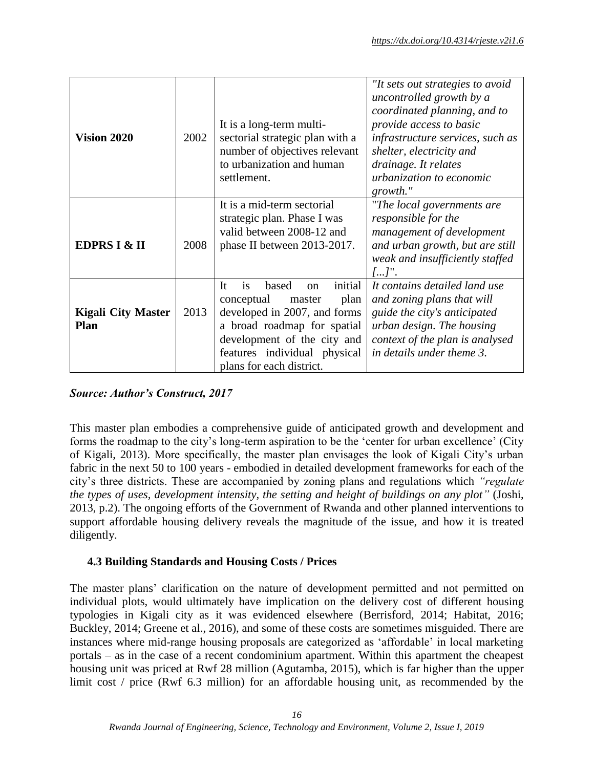| <b>Vision 2020</b>                       | 2002 | It is a long-term multi-<br>sectorial strategic plan with a<br>number of objectives relevant<br>to urbanization and human<br>settlement.                                                                                           | "It sets out strategies to avoid<br>uncontrolled growth by a<br>coordinated planning, and to<br>provide access to basic<br>infrastructure services, such as<br>shelter, electricity and<br>drainage. It relates<br>urbanization to economic<br>growth." |  |
|------------------------------------------|------|------------------------------------------------------------------------------------------------------------------------------------------------------------------------------------------------------------------------------------|---------------------------------------------------------------------------------------------------------------------------------------------------------------------------------------------------------------------------------------------------------|--|
| <b>EDPRS I &amp; II</b>                  | 2008 | It is a mid-term sectorial<br>strategic plan. Phase I was<br>valid between 2008-12 and<br>phase II between 2013-2017.                                                                                                              | "The local governments are<br>responsible for the<br>management of development<br>and urban growth, but are still<br>weak and insufficiently staffed<br>$[]^n$ .                                                                                        |  |
| <b>Kigali City Master</b><br><b>Plan</b> | 2013 | initial<br>It<br>is<br>based<br>$\alpha$<br>plan<br>conceptual<br>master<br>developed in 2007, and forms<br>a broad roadmap for spatial<br>development of the city and<br>features individual physical<br>plans for each district. | It contains detailed land use<br>and zoning plans that will<br>guide the city's anticipated<br>urban design. The housing<br>context of the plan is analysed<br>in details under theme 3.                                                                |  |

*Source: Author's Construct, 2017*

This master plan embodies a comprehensive guide of anticipated growth and development and forms the roadmap to the city's long-term aspiration to be the 'center for urban excellence' (City of Kigali, 2013). More specifically, the master plan envisages the look of Kigali City's urban fabric in the next 50 to 100 years - embodied in detailed development frameworks for each of the city's three districts. These are accompanied by zoning plans and regulations which *"regulate the types of uses, development intensity, the setting and height of buildings on any plot"* (Joshi, 2013, p.2). The ongoing efforts of the Government of Rwanda and other planned interventions to support affordable housing delivery reveals the magnitude of the issue, and how it is treated diligently.

# **4.3 Building Standards and Housing Costs / Prices**

The master plans' clarification on the nature of development permitted and not permitted on individual plots, would ultimately have implication on the delivery cost of different housing typologies in Kigali city as it was evidenced elsewhere (Berrisford, 2014; Habitat, 2016; Buckley, 2014; Greene et al., 2016), and some of these costs are sometimes misguided. There are instances where mid-range housing proposals are categorized as 'affordable' in local marketing portals – as in the case of a recent condominium apartment. Within this apartment the cheapest housing unit was priced at Rwf 28 million (Agutamba, 2015), which is far higher than the upper limit cost / price (Rwf 6.3 million) for an affordable housing unit, as recommended by the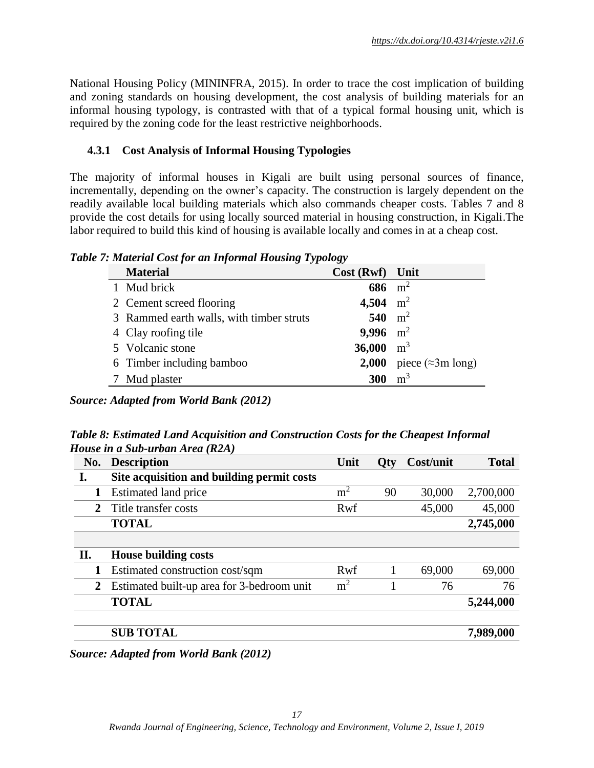National Housing Policy (MININFRA, 2015). In order to trace the cost implication of building and zoning standards on housing development, the cost analysis of building materials for an informal housing typology, is contrasted with that of a typical formal housing unit, which is required by the zoning code for the least restrictive neighborhoods.

## **4.3.1 Cost Analysis of Informal Housing Typologies**

The majority of informal houses in Kigali are built using personal sources of finance, incrementally, depending on the owner's capacity. The construction is largely dependent on the readily available local building materials which also commands cheaper costs. Tables 7 and 8 provide the cost details for using locally sourced material in housing construction, in Kigali.The labor required to build this kind of housing is available locally and comes in at a cheap cost.

*Table 7: Material Cost for an Informal Housing Typology*

| <b>Material</b>                          | Cost (Rwf) Unit |                                         |
|------------------------------------------|-----------------|-----------------------------------------|
| 1 Mud brick                              | 686 $m^2$       |                                         |
| 2 Cement screed flooring                 | 4,504 $m^2$     |                                         |
| 3 Rammed earth walls, with timber struts | 540 $m^2$       |                                         |
| 4 Clay roofing tile                      | 9,996 $m^2$     |                                         |
| 5 Volcanic stone                         | 36,000 $m^3$    |                                         |
| 6 Timber including bamboo                |                 | <b>2,000</b> piece ( $\approx$ 3m long) |
| Mud plaster                              | 300             | m <sup>3</sup>                          |

*Source: Adapted from World Bank (2012)*

*Table 8: Estimated Land Acquisition and Construction Costs for the Cheapest Informal House in a Sub-urban Area (R2A)*

| No. | <b>Description</b>                         | Unit           | Qty | Cost/unit | <b>Total</b> |
|-----|--------------------------------------------|----------------|-----|-----------|--------------|
| I.  | Site acquisition and building permit costs |                |     |           |              |
|     | Estimated land price                       | m <sup>2</sup> | 90  | 30,000    | 2,700,000    |
| 2   | Title transfer costs                       | Rwf            |     | 45,000    | 45,000       |
|     | <b>TOTAL</b>                               |                |     |           | 2,745,000    |
|     |                                            |                |     |           |              |
| II. | <b>House building costs</b>                |                |     |           |              |
|     | Estimated construction cost/sqm            | Rwf            |     | 69,000    | 69,000       |
| 2   | Estimated built-up area for 3-bedroom unit | m <sup>2</sup> |     | 76        | 76           |
|     | <b>TOTAL</b>                               |                |     |           | 5,244,000    |
|     | <b>SUB TOTAL</b>                           |                |     |           | 7,989,000    |

*Source: Adapted from World Bank (2012)*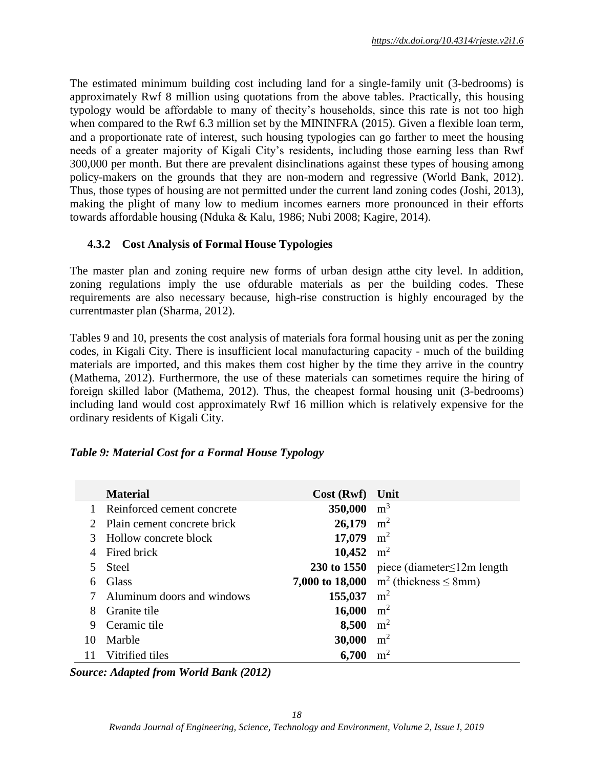The estimated minimum building cost including land for a single-family unit (3-bedrooms) is approximately Rwf 8 million using quotations from the above tables. Practically, this housing typology would be affordable to many of thecity's households, since this rate is not too high when compared to the Rwf 6.3 million set by the MININFRA (2015). Given a flexible loan term, and a proportionate rate of interest, such housing typologies can go farther to meet the housing needs of a greater majority of Kigali City's residents, including those earning less than Rwf 300,000 per month. But there are prevalent disinclinations against these types of housing among policy-makers on the grounds that they are non-modern and regressive (World Bank, 2012). Thus, those types of housing are not permitted under the current land zoning codes (Joshi, 2013), making the plight of many low to medium incomes earners more pronounced in their efforts towards affordable housing (Nduka & Kalu, 1986; Nubi 2008; Kagire, 2014).

## **4.3.2 Cost Analysis of Formal House Typologies**

The master plan and zoning require new forms of urban design atthe city level. In addition, zoning regulations imply the use ofdurable materials as per the building codes. These requirements are also necessary because, high-rise construction is highly encouraged by the currentmaster plan (Sharma, 2012).

Tables 9 and 10, presents the cost analysis of materials fora formal housing unit as per the zoning codes, in Kigali City. There is insufficient local manufacturing capacity - much of the building materials are imported, and this makes them cost higher by the time they arrive in the country (Mathema, 2012). Furthermore, the use of these materials can sometimes require the hiring of foreign skilled labor (Mathema, 2012). Thus, the cheapest formal housing unit (3-bedrooms) including land would cost approximately Rwf 16 million which is relatively expensive for the ordinary residents of Kigali City.

### *Table 9: Material Cost for a Formal House Typology*

|                             | <b>Material</b>             | Cost(Rwf)    | Unit                                          |
|-----------------------------|-----------------------------|--------------|-----------------------------------------------|
|                             | Reinforced cement concrete  | 350,000      | m <sup>3</sup>                                |
| $\mathcal{D}_{\mathcal{L}}$ | Plain cement concrete brick | 26,179       | m <sup>2</sup>                                |
|                             | Hollow concrete block       | 17,079       | m <sup>2</sup>                                |
| 4                           | Fired brick                 | 10,452 $m^2$ |                                               |
|                             | <b>Steel</b>                |              | 230 to 1550 piece (diameter $\leq$ 12m length |
| 6                           | Glass                       |              | 7,000 to 18,000 $m^2$ (thickness $\leq$ 8mm)  |
|                             | Aluminum doors and windows  | 155,037      | m <sup>2</sup>                                |
| 8                           | Granite tile                | 16,000       | m <sup>2</sup>                                |
| 9                           | Ceramic tile                | 8,500        | m <sup>2</sup>                                |
| 10                          | Marble                      | 30,000       | m <sup>2</sup>                                |
|                             | Vitrified tiles             | 6,700        | m <sup>2</sup>                                |

*Source: Adapted from World Bank (2012)*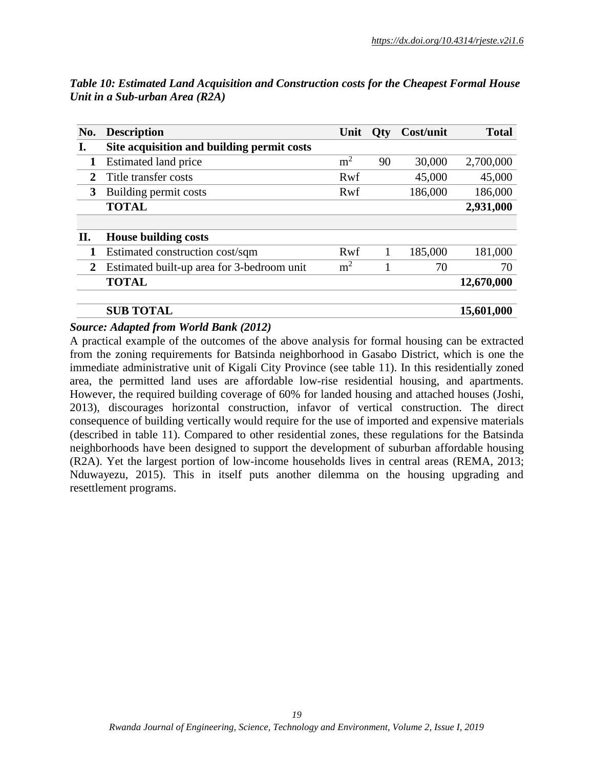| No.            | <b>Description</b>                         | Unit           | <b>Oty</b> | Cost/unit | <b>Total</b> |
|----------------|--------------------------------------------|----------------|------------|-----------|--------------|
| Ι.             | Site acquisition and building permit costs |                |            |           |              |
| 1              | Estimated land price                       | m <sup>2</sup> | 90         | 30,000    | 2,700,000    |
| 2              | Title transfer costs                       | Rwf            |            | 45,000    | 45,000       |
| 3              | Building permit costs                      | Rwf            |            | 186,000   | 186,000      |
|                | <b>TOTAL</b>                               |                |            |           | 2,931,000    |
|                |                                            |                |            |           |              |
| П.             | <b>House building costs</b>                |                |            |           |              |
|                | Estimated construction cost/sqm            | Rwf            |            | 185,000   | 181,000      |
| $\overline{2}$ | Estimated built-up area for 3-bedroom unit | m <sup>2</sup> |            | 70        | 70           |
|                | <b>TOTAL</b>                               |                |            |           | 12,670,000   |
|                | <b>SUB TOTAL</b>                           |                |            |           | 15,601,000   |

*Table 10: Estimated Land Acquisition and Construction costs for the Cheapest Formal House Unit in a Sub-urban Area (R2A)*

### *Source: Adapted from World Bank (2012)*

A practical example of the outcomes of the above analysis for formal housing can be extracted from the zoning requirements for Batsinda neighborhood in Gasabo District, which is one the immediate administrative unit of Kigali City Province (see table 11). In this residentially zoned area, the permitted land uses are affordable low-rise residential housing, and apartments. However, the required building coverage of 60% for landed housing and attached houses (Joshi, 2013), discourages horizontal construction, infavor of vertical construction. The direct consequence of building vertically would require for the use of imported and expensive materials (described in table 11). Compared to other residential zones, these regulations for the Batsinda neighborhoods have been designed to support the development of suburban affordable housing (R2A). Yet the largest portion of low-income households lives in central areas (REMA, 2013; Nduwayezu, 2015). This in itself puts another dilemma on the housing upgrading and resettlement programs.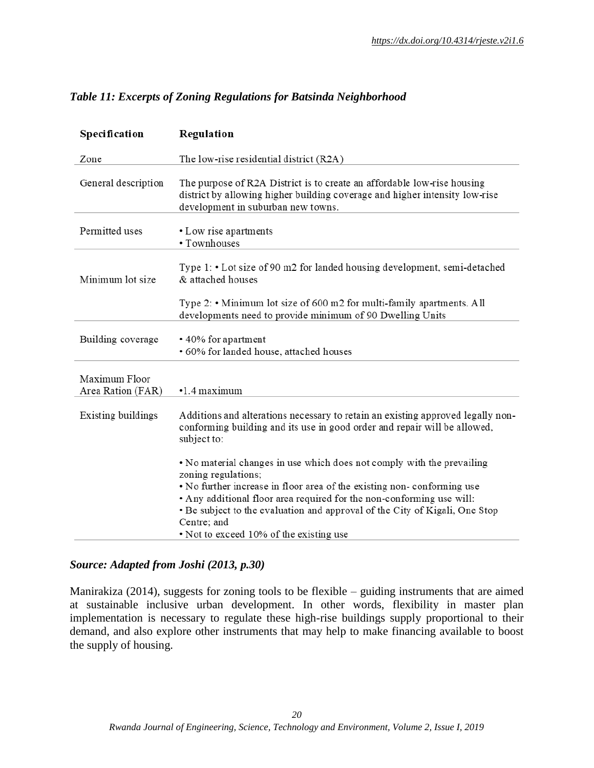| Table 11: Excerpts of Zoning Regulations for Batsinda Neighborhood |  |  |
|--------------------------------------------------------------------|--|--|
|--------------------------------------------------------------------|--|--|

| Specification                      | Regulation                                                                                                                                                                                                                                                                                                                                                                                |
|------------------------------------|-------------------------------------------------------------------------------------------------------------------------------------------------------------------------------------------------------------------------------------------------------------------------------------------------------------------------------------------------------------------------------------------|
| Zone                               | The low-rise residential district (R2A)                                                                                                                                                                                                                                                                                                                                                   |
| General description                | The purpose of R2A District is to create an affordable low-rise housing<br>district by allowing higher building coverage and higher intensity low-rise<br>development in suburban new towns.                                                                                                                                                                                              |
| Permitted uses                     | • Low rise apartments<br>• Townhouses                                                                                                                                                                                                                                                                                                                                                     |
| Minimum lot size                   | Type 1: • Lot size of 90 m2 for landed housing development, semi-detached<br>& attached houses                                                                                                                                                                                                                                                                                            |
|                                    | Type 2: • Minimum lot size of 600 m2 for multi-family apartments. All<br>developments need to provide minimum of 90 Dwelling Units                                                                                                                                                                                                                                                        |
| Building coverage                  | • 40% for apartment<br>· 60% for landed house, attached houses                                                                                                                                                                                                                                                                                                                            |
| Maximum Floor<br>Area Ration (FAR) | $\cdot$ 1.4 maximum                                                                                                                                                                                                                                                                                                                                                                       |
| Existing buildings                 | Additions and alterations necessary to retain an existing approved legally non-<br>conforming building and its use in good order and repair will be allowed,<br>subject to:                                                                                                                                                                                                               |
|                                    | • No material changes in use which does not comply with the prevailing<br>zoning regulations;<br>• No further increase in floor area of the existing non-conforming use<br>• Any additional floor area required for the non-conforming use will:<br>• Be subject to the evaluation and approval of the City of Kigali, One Stop<br>Centre; and<br>• Not to exceed 10% of the existing use |

#### *Source: Adapted from Joshi (2013, p.30)*

Manirakiza (2014), suggests for zoning tools to be flexible – guiding instruments that are aimed at sustainable inclusive urban development. In other words, flexibility in master plan implementation is necessary to regulate these high-rise buildings supply proportional to their demand, and also explore other instruments that may help to make financing available to boost the supply of housing.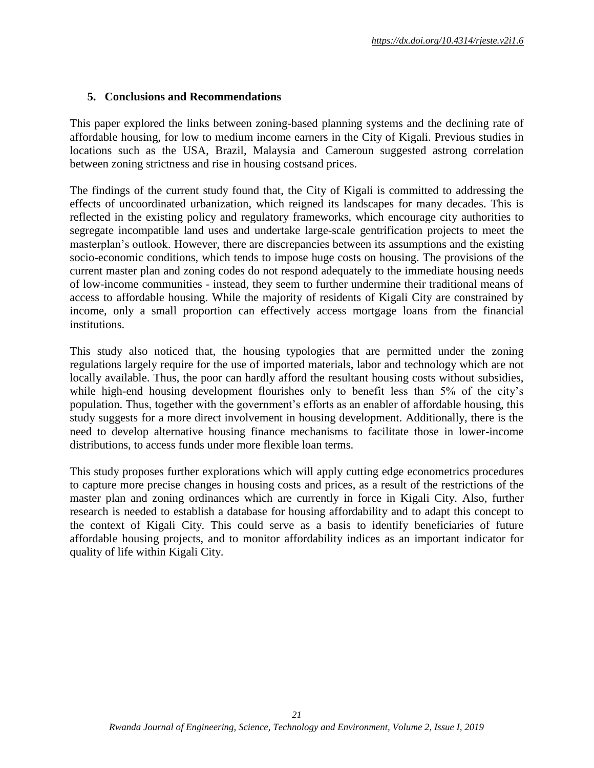#### **5. Conclusions and Recommendations**

This paper explored the links between zoning-based planning systems and the declining rate of affordable housing, for low to medium income earners in the City of Kigali. Previous studies in locations such as the USA, Brazil, Malaysia and Cameroun suggested astrong correlation between zoning strictness and rise in housing costsand prices.

The findings of the current study found that, the City of Kigali is committed to addressing the effects of uncoordinated urbanization, which reigned its landscapes for many decades. This is reflected in the existing policy and regulatory frameworks, which encourage city authorities to segregate incompatible land uses and undertake large-scale gentrification projects to meet the masterplan's outlook. However, there are discrepancies between its assumptions and the existing socio-economic conditions, which tends to impose huge costs on housing. The provisions of the current master plan and zoning codes do not respond adequately to the immediate housing needs of low-income communities - instead, they seem to further undermine their traditional means of access to affordable housing. While the majority of residents of Kigali City are constrained by income, only a small proportion can effectively access mortgage loans from the financial institutions.

This study also noticed that, the housing typologies that are permitted under the zoning regulations largely require for the use of imported materials, labor and technology which are not locally available. Thus, the poor can hardly afford the resultant housing costs without subsidies, while high-end housing development flourishes only to benefit less than 5% of the city's population. Thus, together with the government's efforts as an enabler of affordable housing, this study suggests for a more direct involvement in housing development. Additionally, there is the need to develop alternative housing finance mechanisms to facilitate those in lower-income distributions, to access funds under more flexible loan terms.

This study proposes further explorations which will apply cutting edge econometrics procedures to capture more precise changes in housing costs and prices, as a result of the restrictions of the master plan and zoning ordinances which are currently in force in Kigali City. Also, further research is needed to establish a database for housing affordability and to adapt this concept to the context of Kigali City. This could serve as a basis to identify beneficiaries of future affordable housing projects, and to monitor affordability indices as an important indicator for quality of life within Kigali City.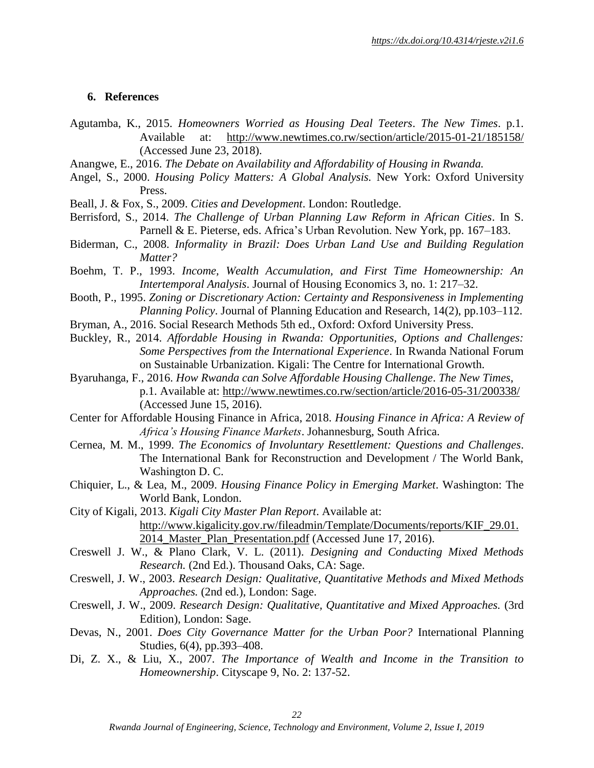#### **6. References**

- Agutamba, K., 2015. *Homeowners Worried as Housing Deal Teeters*. *The New Times*. p.1. Available at: <http://www.newtimes.co.rw/section/article/2015-01-21/185158/> (Accessed June 23, 2018).
- Anangwe, E., 2016. *The Debate on Availability and Affordability of Housing in Rwanda.*
- Angel, S., 2000. *Housing Policy Matters: A Global Analysis.* New York: Oxford University Press.
- Beall, J. & Fox, S., 2009. *Cities and Development*. London: Routledge.
- Berrisford, S., 2014. *The Challenge of Urban Planning Law Reform in African Cities*. In S. Parnell & E. Pieterse, eds. Africa's Urban Revolution. New York, pp. 167–183.
- Biderman, C., 2008. *Informality in Brazil: Does Urban Land Use and Building Regulation Matter?*
- Boehm, T. P., 1993. *Income, Wealth Accumulation, and First Time Homeownership: An Intertemporal Analysis*. Journal of Housing Economics 3, no. 1: 217–32.
- Booth, P., 1995. *Zoning or Discretionary Action: Certainty and Responsiveness in Implementing Planning Policy*. Journal of Planning Education and Research, 14(2), pp.103–112.
- Bryman, A., 2016. Social Research Methods 5th ed., Oxford: Oxford University Press.
- Buckley, R., 2014. *Affordable Housing in Rwanda: Opportunities, Options and Challenges: Some Perspectives from the International Experience*. In Rwanda National Forum on Sustainable Urbanization. Kigali: The Centre for International Growth.
- Byaruhanga, F., 2016. *How Rwanda can Solve Affordable Housing Challenge*. *The New Times*, p.1. Available at:<http://www.newtimes.co.rw/section/article/2016-05-31/200338/> (Accessed June 15, 2016).
- Center for Affordable Housing Finance in Africa, 2018. *Housing Finance in Africa: A Review of Africa's Housing Finance Markets*. Johannesburg, South Africa.
- Cernea, M. M., 1999. *The Economics of Involuntary Resettlement: Questions and Challenges*. The International Bank for Reconstruction and Development / The World Bank, Washington D. C.
- Chiquier, L., & Lea, M., 2009. *Housing Finance Policy in Emerging Market*. Washington: The World Bank, London.
- City of Kigali, 2013. *Kigali City Master Plan Report*. Available at: [http://www.kigalicity.gov.rw/fileadmin/Template/Documents/reports/KIF\\_29.01.](http://www.kigalicity.gov.rw/fileadmin/Template/Documents/reports/KIF_29.01.2014_Master_Plan_Presentation.pdf) [2014\\_Master\\_Plan\\_Presentation.pdf](http://www.kigalicity.gov.rw/fileadmin/Template/Documents/reports/KIF_29.01.2014_Master_Plan_Presentation.pdf) (Accessed June 17, 2016).
- Creswell J. W., & Plano Clark, V. L. (2011). *Designing and Conducting Mixed Methods Research.* (2nd Ed.). Thousand Oaks, CA: Sage.
- Creswell, J. W., 2003. *Research Design: Qualitative, Quantitative Methods and Mixed Methods Approaches.* (2nd ed.), London: Sage.
- Creswell, J. W., 2009. *Research Design: Qualitative, Quantitative and Mixed Approaches.* (3rd Edition), London: Sage.
- Devas, N., 2001. *Does City Governance Matter for the Urban Poor?* International Planning Studies, 6(4), pp.393–408.
- Di, Z. X., & Liu, X., 2007. *The Importance of Wealth and Income in the Transition to Homeownership*. Cityscape 9, No. 2: 137-52.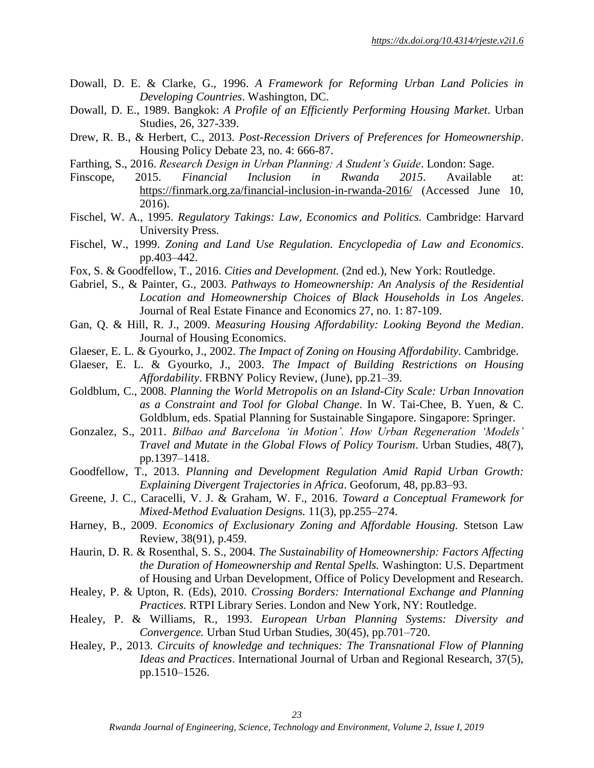- Dowall, D. E. & Clarke, G., 1996. *A Framework for Reforming Urban Land Policies in Developing Countries*. Washington, DC.
- Dowall, D. E., 1989. Bangkok: *A Profile of an Efficiently Performing Housing Market*. Urban Studies, 26, 327-339.
- Drew, R. B., & Herbert, C., 2013. *Post-Recession Drivers of Preferences for Homeownership*. Housing Policy Debate 23, no. 4: 666-87.
- Farthing, S., 2016. *Research Design in Urban Planning: A Student's Guide*. London: Sage.
- Finscope, 2015. *Financial Inclusion in Rwanda 2015*. Available at: <https://finmark.org.za/financial-inclusion-in-rwanda-2016/> (Accessed June 10, 2016).
- Fischel, W. A., 1995. *Regulatory Takings: Law, Economics and Politics.* Cambridge: Harvard University Press.
- Fischel, W., 1999. *Zoning and Land Use Regulation. Encyclopedia of Law and Economics*. pp.403–442.
- Fox, S. & Goodfellow, T., 2016. *Cities and Development.* (2nd ed.), New York: Routledge.
- Gabriel, S., & Painter, G., 2003. *Pathways to Homeownership: An Analysis of the Residential Location and Homeownership Choices of Black Households in Los Angeles*. Journal of Real Estate Finance and Economics 27, no. 1: 87-109.
- Gan, Q. & Hill, R. J., 2009. *Measuring Housing Affordability: Looking Beyond the Median*. Journal of Housing Economics.
- Glaeser, E. L. & Gyourko, J., 2002. *The Impact of Zoning on Housing Affordability.* Cambridge.
- Glaeser, E. L. & Gyourko, J., 2003. *The Impact of Building Restrictions on Housing Affordability*. FRBNY Policy Review, (June), pp.21–39.
- Goldblum, C., 2008. *Planning the World Metropolis on an Island-City Scale: Urban Innovation as a Constraint and Tool for Global Change*. In W. Tai-Chee, B. Yuen, & C. Goldblum, eds. Spatial Planning for Sustainable Singapore. Singapore: Springer.
- Gonzalez, S., 2011. *Bilbao and Barcelona 'in Motion'. How Urban Regeneration 'Models' Travel and Mutate in the Global Flows of Policy Tourism*. Urban Studies, 48(7), pp.1397–1418.
- Goodfellow, T., 2013. *Planning and Development Regulation Amid Rapid Urban Growth: Explaining Divergent Trajectories in Africa*. Geoforum, 48, pp.83–93.
- Greene, J. C., Caracelli, V. J. & Graham, W. F., 2016. *Toward a Conceptual Framework for Mixed-Method Evaluation Designs.* 11(3), pp.255–274.
- Harney, B., 2009. *Economics of Exclusionary Zoning and Affordable Housing.* Stetson Law Review, 38(91), p.459.
- Haurin, D. R. & Rosenthal, S. S., 2004. *The Sustainability of Homeownership: Factors Affecting the Duration of Homeownership and Rental Spells.* Washington: U.S. Department of Housing and Urban Development, Office of Policy Development and Research.
- Healey, P. & Upton, R. (Eds), 2010. *Crossing Borders: International Exchange and Planning Practices.* RTPI Library Series. London and New York, NY: Routledge.
- Healey, P. & Williams, R., 1993. *European Urban Planning Systems: Diversity and Convergence.* Urban Stud Urban Studies, 30(45), pp.701–720.
- Healey, P., 2013. *Circuits of knowledge and techniques: The Transnational Flow of Planning Ideas and Practices*. International Journal of Urban and Regional Research, 37(5), pp.1510–1526.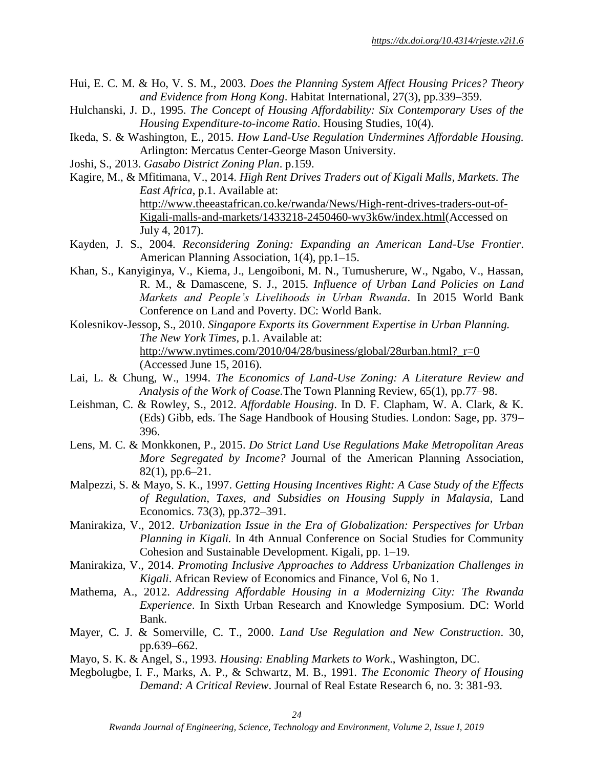- Hui, E. C. M. & Ho, V. S. M., 2003. *Does the Planning System Affect Housing Prices? Theory and Evidence from Hong Kong*. Habitat International, 27(3), pp.339–359.
- Hulchanski, J. D., 1995. *The Concept of Housing Affordability: Six Contemporary Uses of the Housing Expenditure-to-income Ratio*. Housing Studies, 10(4).
- Ikeda, S. & Washington, E., 2015. *How Land-Use Regulation Undermines Affordable Housing.* Arlington: Mercatus Center-George Mason University.
- Joshi, S., 2013. *Gasabo District Zoning Plan*. p.159.
- Kagire, M., & Mfitimana, V., 2014. *High Rent Drives Traders out of Kigali Malls, Markets. The East Africa*, p.1. Available at: [http://www.theeastafrican.co.ke/rwanda/News/High-rent-drives-traders-out-of-](http://www.theeastafrican.co.ke/rwanda/News/High-rent-drives-traders-out-of-Kigali-malls-and-markets/1433218-2450460-wy3k6w/index.html)[Kigali-malls-and-markets/1433218-2450460-wy3k6w/index.html\(](http://www.theeastafrican.co.ke/rwanda/News/High-rent-drives-traders-out-of-Kigali-malls-and-markets/1433218-2450460-wy3k6w/index.html)Accessed on July 4, 2017).
- Kayden, J. S., 2004. *Reconsidering Zoning: Expanding an American Land-Use Frontier*. American Planning Association, 1(4), pp.1–15.
- Khan, S., Kanyiginya, V., Kiema, J., Lengoiboni, M. N., Tumusherure, W., Ngabo, V., Hassan, R. M., & Damascene, S. J., 2015*. Influence of Urban Land Policies on Land Markets and People's Livelihoods in Urban Rwanda*. In 2015 World Bank Conference on Land and Poverty. DC: World Bank.
- Kolesnikov-Jessop, S., 2010. *Singapore Exports its Government Expertise in Urban Planning. The New York Times*, p.1. Available at: http://www.nytimes.com/2010/04/28/business/global/28urban.html? $r=0$ (Accessed June 15, 2016).
- Lai, L. & Chung, W., 1994. *The Economics of Land-Use Zoning: A Literature Review and Analysis of the Work of Coase.*The Town Planning Review, 65(1), pp.77–98.
- Leishman, C. & Rowley, S., 2012. *Affordable Housing*. In D. F. Clapham, W. A. Clark, & K. (Eds) Gibb, eds. The Sage Handbook of Housing Studies. London: Sage, pp. 379– 396.
- Lens, M. C. & Monkkonen, P., 2015. *Do Strict Land Use Regulations Make Metropolitan Areas More Segregated by Income?* Journal of the American Planning Association,  $82(1)$ , pp.6–21.
- Malpezzi, S. & Mayo, S. K., 1997. *Getting Housing Incentives Right: A Case Study of the Effects of Regulation, Taxes, and Subsidies on Housing Supply in Malaysia,* Land Economics. 73(3), pp.372–391.
- Manirakiza, V., 2012. *Urbanization Issue in the Era of Globalization: Perspectives for Urban Planning in Kigali.* In 4th Annual Conference on Social Studies for Community Cohesion and Sustainable Development. Kigali, pp. 1–19.
- Manirakiza, V., 2014. *Promoting Inclusive Approaches to Address Urbanization Challenges in Kigali*. African Review of Economics and Finance, Vol 6, No 1.
- Mathema, A., 2012. *Addressing Affordable Housing in a Modernizing City: The Rwanda Experience*. In Sixth Urban Research and Knowledge Symposium. DC: World Bank.
- Mayer, C. J. & Somerville, C. T., 2000. *Land Use Regulation and New Construction*. 30, pp.639–662.
- Mayo, S. K. & Angel, S., 1993. *Housing: Enabling Markets to Work*., Washington, DC.
- Megbolugbe, I. F., Marks, A. P., & Schwartz, M. B., 1991. *The Economic Theory of Housing Demand: A Critical Review*. Journal of Real Estate Research 6, no. 3: 381-93.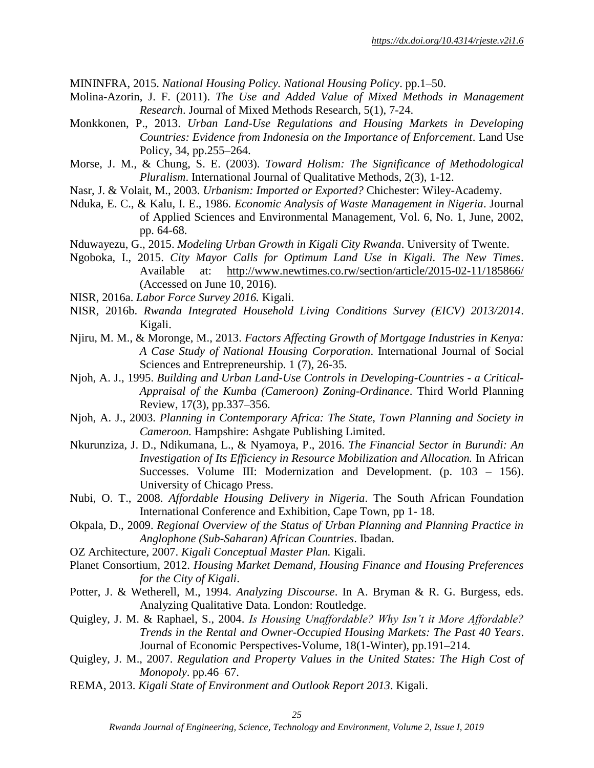MININFRA, 2015. *National Housing Policy. National Housing Policy*. pp.1–50.

- Molina-Azorin, J. F. (2011). *The Use and Added Value of Mixed Methods in Management Research*. Journal of Mixed Methods Research, 5(1), 7-24.
- Monkkonen, P., 2013. *Urban Land-Use Regulations and Housing Markets in Developing Countries: Evidence from Indonesia on the Importance of Enforcement*. Land Use Policy, 34, pp.255–264.
- Morse, J. M., & Chung, S. E. (2003). *Toward Holism: The Significance of Methodological Pluralism*. International Journal of Qualitative Methods, 2(3), 1-12.
- Nasr, J. & Volait, M., 2003. *Urbanism: Imported or Exported?* Chichester: Wiley-Academy.
- Nduka, E. C., & Kalu, I. E., 1986. *Economic Analysis of Waste Management in Nigeria*. Journal of Applied Sciences and Environmental Management, Vol. 6, No. 1, June, 2002, pp. 64-68.
- Nduwayezu, G., 2015. *Modeling Urban Growth in Kigali City Rwanda*. University of Twente.
- Ngoboka, I., 2015. *City Mayor Calls for Optimum Land Use in Kigali. The New Times*. Available at: <http://www.newtimes.co.rw/section/article/2015-02-11/185866/> (Accessed on June 10, 2016).
- NISR, 2016a. *Labor Force Survey 2016.* Kigali.
- NISR, 2016b. *Rwanda Integrated Household Living Conditions Survey (EICV) 2013/2014*. Kigali.
- Njiru, M. M., & Moronge, M., 2013. *Factors Affecting Growth of Mortgage Industries in Kenya: A Case Study of National Housing Corporation*. International Journal of Social Sciences and Entrepreneurship. 1 (7), 26-35.
- Njoh, A. J., 1995. *Building and Urban Land-Use Controls in Developing-Countries - a Critical-Appraisal of the Kumba (Cameroon) Zoning-Ordinance*. Third World Planning Review, 17(3), pp.337–356.
- Njoh, A. J., 2003. *Planning in Contemporary Africa: The State, Town Planning and Society in Cameroon.* Hampshire: Ashgate Publishing Limited.
- Nkurunziza, J. D., Ndikumana, L., & Nyamoya, P., 2016. *The Financial Sector in Burundi: An Investigation of Its Efficiency in Resource Mobilization and Allocation.* In African Successes. Volume III: Modernization and Development. (p. 103 – 156). University of Chicago Press.
- Nubi, O. T., 2008. *Affordable Housing Delivery in Nigeria*. The South African Foundation International Conference and Exhibition, Cape Town, pp 1- 18.
- Okpala, D., 2009. *Regional Overview of the Status of Urban Planning and Planning Practice in Anglophone (Sub-Saharan) African Countries*. Ibadan.
- OZ Architecture, 2007. *Kigali Conceptual Master Plan.* Kigali.
- Planet Consortium, 2012. *Housing Market Demand, Housing Finance and Housing Preferences for the City of Kigali*.
- Potter, J. & Wetherell, M., 1994. *Analyzing Discourse*. In A. Bryman & R. G. Burgess, eds. Analyzing Qualitative Data. London: Routledge.
- Quigley, J. M. & Raphael, S., 2004. *Is Housing Unaffordable? Why Isn't it More Affordable? Trends in the Rental and Owner-Occupied Housing Markets: The Past 40 Years*. Journal of Economic Perspectives-Volume, 18(1-Winter), pp.191–214.
- Quigley, J. M., 2007. *Regulation and Property Values in the United States: The High Cost of Monopoly*. pp.46–67.
- REMA, 2013. *Kigali State of Environment and Outlook Report 2013*. Kigali.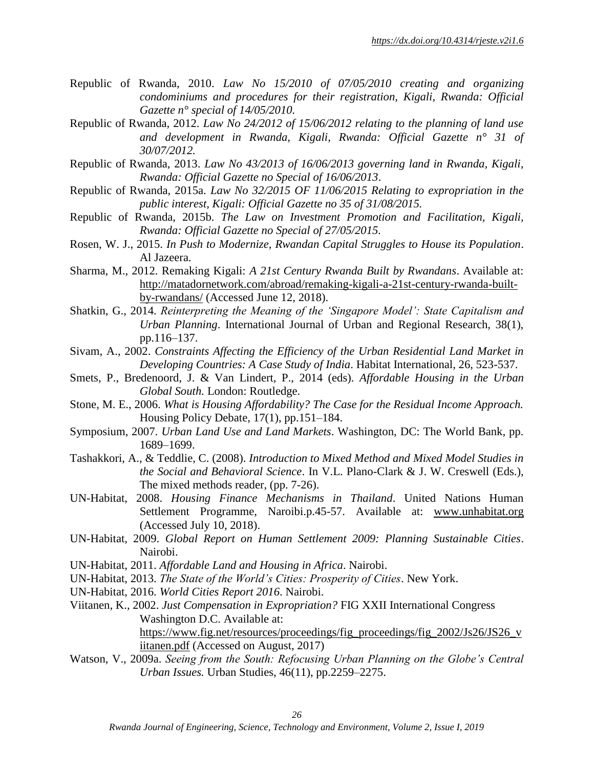- Republic of Rwanda, 2010. *Law No 15/2010 of 07/05/2010 creating and organizing condominiums and procedures for their registration, Kigali, Rwanda: Official Gazette n° special of 14/05/2010.*
- Republic of Rwanda, 2012. *Law No 24/2012 of 15/06/2012 relating to the planning of land use and development in Rwanda, Kigali, Rwanda: Official Gazette n° 31 of 30/07/2012.*
- Republic of Rwanda, 2013. *Law No 43/2013 of 16/06/2013 governing land in Rwanda, Kigali, Rwanda: Official Gazette no Special of 16/06/2013*.
- Republic of Rwanda, 2015a. *Law No 32/2015 OF 11/06/2015 Relating to expropriation in the public interest, Kigali: Official Gazette no 35 of 31/08/2015.*
- Republic of Rwanda, 2015b. *The Law on Investment Promotion and Facilitation, Kigali, Rwanda: Official Gazette no Special of 27/05/2015.*
- Rosen, W. J., 2015. *In Push to Modernize, Rwandan Capital Struggles to House its Population*. Al Jazeera.
- Sharma, M., 2012. Remaking Kigali: *A 21st Century Rwanda Built by Rwandans*. Available at: [http://matadornetwork.com/abroad/remaking-kigali-a-21st-century-rwanda-built](http://matadornetwork.com/abroad/remaking-kigali-a-21st-century-rwanda-built-by-rwandans/)[by-rwandans/](http://matadornetwork.com/abroad/remaking-kigali-a-21st-century-rwanda-built-by-rwandans/) (Accessed June 12, 2018).
- Shatkin, G., 2014. *Reinterpreting the Meaning of the 'Singapore Model': State Capitalism and Urban Planning*. International Journal of Urban and Regional Research, 38(1), pp.116–137.
- Sivam, A., 2002. *Constraints Affecting the Efficiency of the Urban Residential Land Market in Developing Countries: A Case Study of India*. Habitat International, 26, 523-537.
- Smets, P., Bredenoord, J. & Van Lindert, P., 2014 (eds). *Affordable Housing in the Urban Global South.* London: Routledge.
- Stone, M. E., 2006. *What is Housing Affordability? The Case for the Residual Income Approach.* Housing Policy Debate, 17(1), pp.151–184.
- Symposium, 2007. *Urban Land Use and Land Markets*. Washington, DC: The World Bank, pp. 1689–1699.
- Tashakkori, A., & Teddlie, C. (2008). *Introduction to Mixed Method and Mixed Model Studies in the Social and Behavioral Science*. In V.L. Plano-Clark & J. W. Creswell (Eds.), The mixed methods reader, (pp. 7-26).
- UN-Habitat, 2008. *Housing Finance Mechanisms in Thailand*. United Nations Human Settlement Programme, Naroibi.p.45-57. Available at: [www.unhabitat.org](http://www.unhabitat.org/) (Accessed July 10, 2018).
- UN-Habitat, 2009. *Global Report on Human Settlement 2009: Planning Sustainable Cities*. Nairobi.
- UN-Habitat, 2011. *Affordable Land and Housing in Africa*. Nairobi.
- UN-Habitat, 2013. *The State of the World's Cities: Prosperity of Cities*. New York.
- UN-Habitat, 2016. *World Cities Report 2016*. Nairobi.
- Viitanen, K., 2002. *Just Compensation in Expropriation?* FIG XXII International Congress Washington D.C. Available at: [https://www.fig.net/resources/proceedings/fig\\_proceedings/fig\\_2002/Js26/JS26\\_v](https://www.fig.net/resources/proceedings/fig_proceedings/fig_2002/Js26/JS26_viitanen.pdf) [iitanen.pdf](https://www.fig.net/resources/proceedings/fig_proceedings/fig_2002/Js26/JS26_viitanen.pdf) (Accessed on August, 2017)
- Watson, V., 2009a. *Seeing from the South: Refocusing Urban Planning on the Globe's Central Urban Issues.* Urban Studies, 46(11), pp.2259–2275.